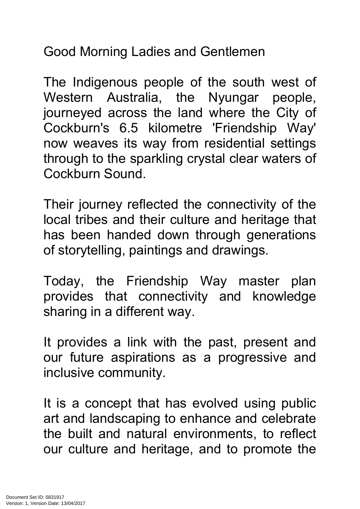Good Morning Ladies and Gentlemen

The Indigenous people of the south west of Western Australia, the Nyungar people, journeyed across the land where the City of Cockburn's 6.5 kilometre 'Friendship Way' now weaves its way from residential settings through to the sparkling crystal clear waters of Cockburn Sound.

Their journey reflected the connectivity of the local tribes and their culture and heritage that has been handed down through generations of storytelling, paintings and drawings.

Today, the Friendship Way master plan provides that connectivity and knowledge sharing in a different way.

It provides a link with the past, present and our future aspirations as a progressive and inclusive community.

It is a concept that has evolved using public art and landscaping to enhance and celebrate the built and natural environments, to reflect our culture and heritage, and to promote the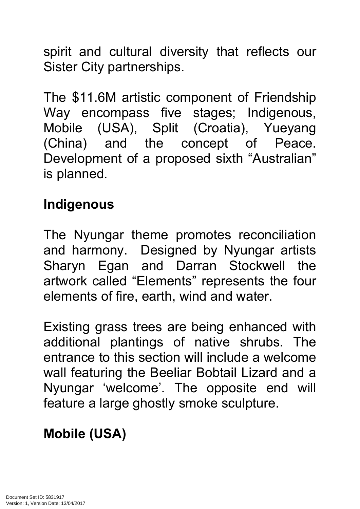spirit and cultural diversity that reflects our Sister City partnerships.

The \$11.6M artistic component of Friendship Way encompass five stages; Indigenous, Mobile (USA), Split (Croatia), Yueyang (China) and the concept of Peace. Development of a proposed sixth "Australian" is planned.

### **Indigenous**

The Nyungar theme promotes reconciliation and harmony. Designed by Nyungar artists Sharyn Egan and Darran Stockwell the artwork called "Elements" represents the four elements of fire, earth, wind and water.

Existing grass trees are being enhanced with additional plantings of native shrubs. The entrance to this section will include a welcome wall featuring the Beeliar Bobtail Lizard and a Nyungar 'welcome'. The opposite end will feature a large ghostly smoke sculpture.

# **Mobile (USA)**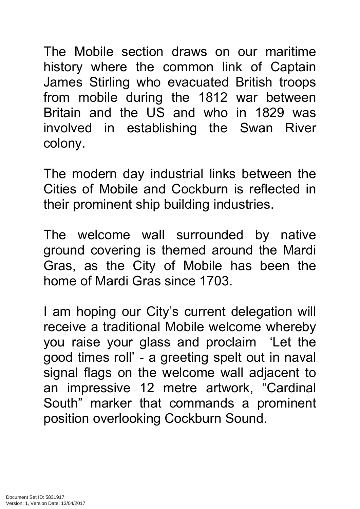The Mobile section draws on our maritime history where the common link of Captain James Stirling who evacuated British troops from mobile during the 1812 war between Britain and the US and who in 1829 was involved in establishing the Swan River colony.

The modern day industrial links between the Cities of Mobile and Cockburn is reflected in their prominent ship building industries.

The welcome wall surrounded by native ground covering is themed around the Mardi Gras, as the City of Mobile has been the home of Mardi Gras since 1703.

I am hoping our City's current delegation will receive a traditional Mobile welcome whereby you raise your glass and proclaim 'Let the good times roll' - a greeting spelt out in naval signal flags on the welcome wall adjacent to an impressive 12 metre artwork, "Cardinal South" marker that commands a prominent position overlooking Cockburn Sound.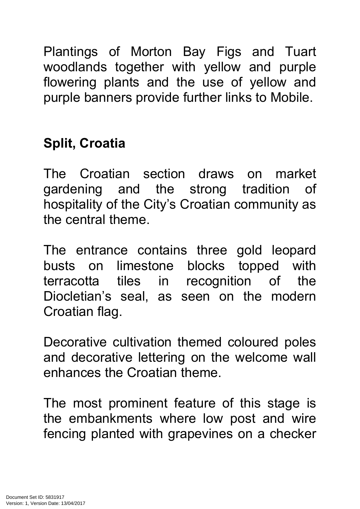Plantings of Morton Bay Figs and Tuart woodlands together with yellow and purple flowering plants and the use of yellow and purple banners provide further links to Mobile.

## **Split, Croatia**

The Croatian section draws on market gardening and the strong tradition of hospitality of the City's Croatian community as the central theme.

The entrance contains three gold leopard busts on limestone blocks topped with terracotta tiles in recognition of the Diocletian's seal, as seen on the modern Croatian flag.

Decorative cultivation themed coloured poles and decorative lettering on the welcome wall enhances the Croatian theme.

The most prominent feature of this stage is the embankments where low post and wire fencing planted with grapevines on a checker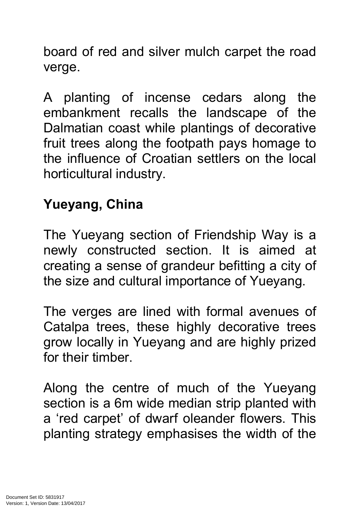board of red and silver mulch carpet the road verge.

A planting of incense cedars along the embankment recalls the landscape of the Dalmatian coast while plantings of decorative fruit trees along the footpath pays homage to the influence of Croatian settlers on the local horticultural industry.

## **Yueyang, China**

The Yueyang section of Friendship Way is a newly constructed section. It is aimed at creating a sense of grandeur befitting a city of the size and cultural importance of Yueyang.

The verges are lined with formal avenues of Catalpa trees, these highly decorative trees grow locally in Yueyang and are highly prized for their timber.

Along the centre of much of the Yueyang section is a 6m wide median strip planted with a 'red carpet' of dwarf oleander flowers. This planting strategy emphasises the width of the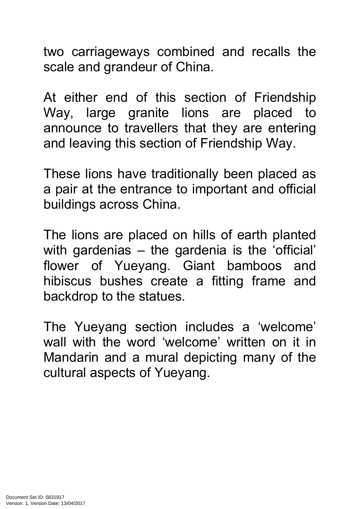two carriageways combined and recalls the scale and grandeur of China.

At either end of this section of Friendship Way, large granite lions are placed to announce to travellers that they are entering and leaving this section of Friendship Way.

These lions have traditionally been placed as a pair at the entrance to important and official buildings across China.

The lions are placed on hills of earth planted with gardenias – the gardenia is the 'official' flower of Yueyang. Giant bamboos and hibiscus bushes create a fitting frame and backdrop to the statues.

The Yueyang section includes a 'welcome' wall with the word 'welcome' written on it in Mandarin and a mural depicting many of the cultural aspects of Yueyang.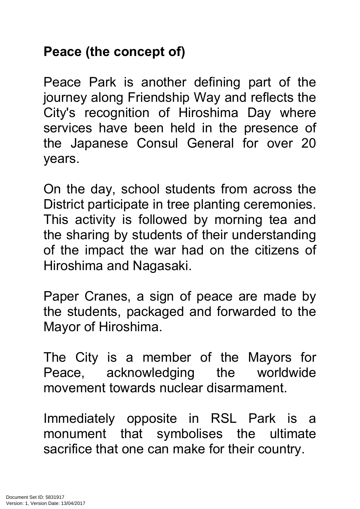## **Peace (the concept of)**

Peace Park is another defining part of the journey along Friendship Way and reflects the City's recognition of Hiroshima Day where services have been held in the presence of the Japanese Consul General for over 20 years.

On the day, school students from across the District participate in tree planting ceremonies. This activity is followed by morning tea and the sharing by students of their understanding of the impact the war had on the citizens of Hiroshima and Nagasaki.

Paper Cranes, a sign of peace are made by the students, packaged and forwarded to the Mayor of Hiroshima.

The City is a member of the Mayors for Peace, acknowledging the worldwide movement towards nuclear disarmament.

Immediately opposite in RSL Park is a monument that symbolises the ultimate sacrifice that one can make for their country.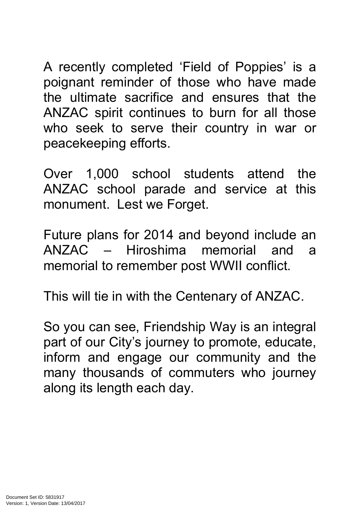A recently completed 'Field of Poppies' is a poignant reminder of those who have made the ultimate sacrifice and ensures that the ANZAC spirit continues to burn for all those who seek to serve their country in war or peacekeeping efforts.

Over 1,000 school students attend the ANZAC school parade and service at this monument. Lest we Forget.

Future plans for 2014 and beyond include an ANZAC – Hiroshima memorial and a memorial to remember post WWII conflict.

This will tie in with the Centenary of ANZAC.

So you can see, Friendship Way is an integral part of our City's journey to promote, educate, inform and engage our community and the many thousands of commuters who journey along its length each day.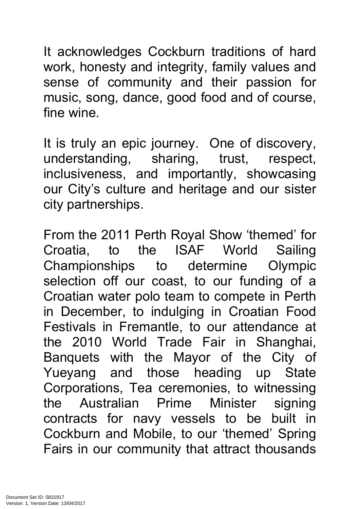It acknowledges Cockburn traditions of hard work, honesty and integrity, family values and sense of community and their passion for music, song, dance, good food and of course, fine wine.

It is truly an epic journey. One of discovery, understanding, sharing, trust, respect, inclusiveness, and importantly, showcasing our City's culture and heritage and our sister city partnerships.

From the 2011 Perth Royal Show 'themed' for Croatia, to the ISAF World Sailing Championships to determine Olympic selection off our coast, to our funding of a Croatian water polo team to compete in Perth in December, to indulging in Croatian Food Festivals in Fremantle, to our attendance at the 2010 World Trade Fair in Shanghai, Banquets with the Mayor of the City of Yueyang and those heading up State Corporations, Tea ceremonies, to witnessing the Australian Prime Minister signing contracts for navy vessels to be built in Cockburn and Mobile, to our 'themed' Spring Fairs in our community that attract thousands